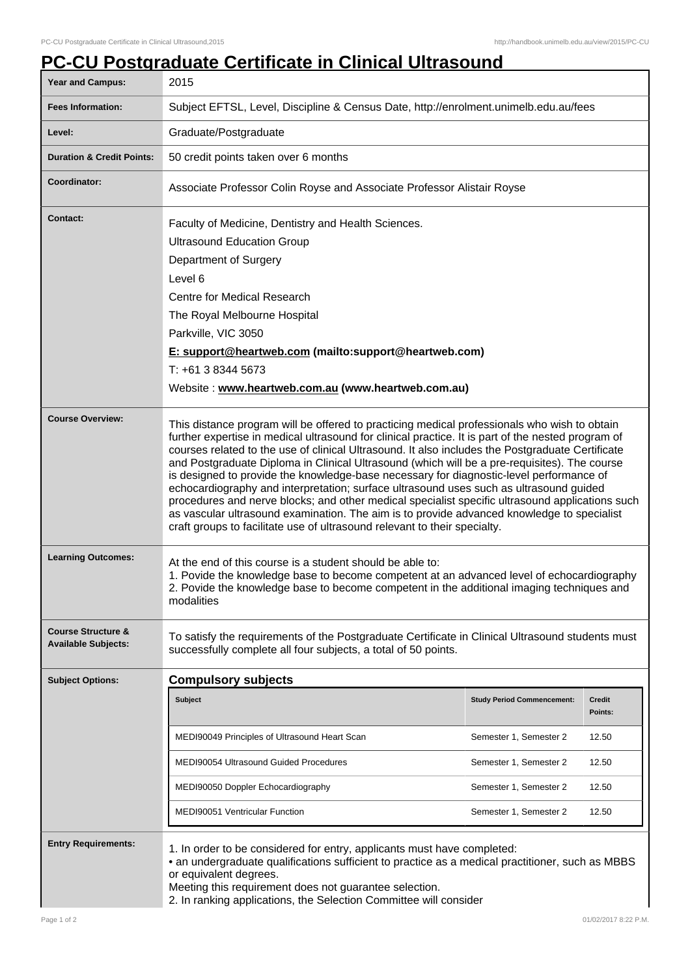## **PC-CU Postgraduate Certificate in Clinical Ultrasound**

| Year and Campus:                                            | 2015                                                                                                                                                                                                                                                                                                                                                                                                                                                                                                                                                                                                                                                                                                                                                                                                                                                                      |                                   |                   |
|-------------------------------------------------------------|---------------------------------------------------------------------------------------------------------------------------------------------------------------------------------------------------------------------------------------------------------------------------------------------------------------------------------------------------------------------------------------------------------------------------------------------------------------------------------------------------------------------------------------------------------------------------------------------------------------------------------------------------------------------------------------------------------------------------------------------------------------------------------------------------------------------------------------------------------------------------|-----------------------------------|-------------------|
| <b>Fees Information:</b>                                    | Subject EFTSL, Level, Discipline & Census Date, http://enrolment.unimelb.edu.au/fees                                                                                                                                                                                                                                                                                                                                                                                                                                                                                                                                                                                                                                                                                                                                                                                      |                                   |                   |
| Level:                                                      | Graduate/Postgraduate                                                                                                                                                                                                                                                                                                                                                                                                                                                                                                                                                                                                                                                                                                                                                                                                                                                     |                                   |                   |
| <b>Duration &amp; Credit Points:</b>                        | 50 credit points taken over 6 months                                                                                                                                                                                                                                                                                                                                                                                                                                                                                                                                                                                                                                                                                                                                                                                                                                      |                                   |                   |
| Coordinator:                                                | Associate Professor Colin Royse and Associate Professor Alistair Royse                                                                                                                                                                                                                                                                                                                                                                                                                                                                                                                                                                                                                                                                                                                                                                                                    |                                   |                   |
| <b>Contact:</b>                                             | Faculty of Medicine, Dentistry and Health Sciences.<br><b>Ultrasound Education Group</b><br>Department of Surgery<br>Level 6<br>Centre for Medical Research<br>The Royal Melbourne Hospital<br>Parkville, VIC 3050<br>E: support@heartweb.com (mailto:support@heartweb.com)<br>T: +61 3 8344 5673<br>Website: www.heartweb.com.au (www.heartweb.com.au)                                                                                                                                                                                                                                                                                                                                                                                                                                                                                                                   |                                   |                   |
| <b>Course Overview:</b>                                     | This distance program will be offered to practicing medical professionals who wish to obtain<br>further expertise in medical ultrasound for clinical practice. It is part of the nested program of<br>courses related to the use of clinical Ultrasound. It also includes the Postgraduate Certificate<br>and Postgraduate Diploma in Clinical Ultrasound (which will be a pre-requisites). The course<br>is designed to provide the knowledge-base necessary for diagnostic-level performance of<br>echocardiography and interpretation; surface ultrasound uses such as ultrasound guided<br>procedures and nerve blocks; and other medical specialist specific ultrasound applications such<br>as vascular ultrasound examination. The aim is to provide advanced knowledge to specialist<br>craft groups to facilitate use of ultrasound relevant to their specialty. |                                   |                   |
| <b>Learning Outcomes:</b>                                   | At the end of this course is a student should be able to:<br>1. Povide the knowledge base to become competent at an advanced level of echocardiography<br>2. Povide the knowledge base to become competent in the additional imaging techniques and<br>modalities                                                                                                                                                                                                                                                                                                                                                                                                                                                                                                                                                                                                         |                                   |                   |
| <b>Course Structure &amp;</b><br><b>Available Subjects:</b> | To satisfy the requirements of the Postgraduate Certificate in Clinical Ultrasound students must<br>successfully complete all four subjects, a total of 50 points.                                                                                                                                                                                                                                                                                                                                                                                                                                                                                                                                                                                                                                                                                                        |                                   |                   |
| <b>Subject Options:</b>                                     | <b>Compulsory subjects</b>                                                                                                                                                                                                                                                                                                                                                                                                                                                                                                                                                                                                                                                                                                                                                                                                                                                |                                   |                   |
|                                                             | Subject                                                                                                                                                                                                                                                                                                                                                                                                                                                                                                                                                                                                                                                                                                                                                                                                                                                                   | <b>Study Period Commencement:</b> | Credit<br>Points: |
|                                                             | MEDI90049 Principles of Ultrasound Heart Scan                                                                                                                                                                                                                                                                                                                                                                                                                                                                                                                                                                                                                                                                                                                                                                                                                             | Semester 1, Semester 2            | 12.50             |
|                                                             | MEDI90054 Ultrasound Guided Procedures                                                                                                                                                                                                                                                                                                                                                                                                                                                                                                                                                                                                                                                                                                                                                                                                                                    | Semester 1, Semester 2            | 12.50             |
|                                                             | MEDI90050 Doppler Echocardiography                                                                                                                                                                                                                                                                                                                                                                                                                                                                                                                                                                                                                                                                                                                                                                                                                                        | Semester 1, Semester 2            | 12.50             |
|                                                             | <b>MEDI90051 Ventricular Function</b>                                                                                                                                                                                                                                                                                                                                                                                                                                                                                                                                                                                                                                                                                                                                                                                                                                     | Semester 1, Semester 2            | 12.50             |
| <b>Entry Requirements:</b>                                  | 1. In order to be considered for entry, applicants must have completed:<br>• an undergraduate qualifications sufficient to practice as a medical practitioner, such as MBBS<br>or equivalent degrees.<br>Meeting this requirement does not guarantee selection.<br>2. In ranking applications, the Selection Committee will consider                                                                                                                                                                                                                                                                                                                                                                                                                                                                                                                                      |                                   |                   |